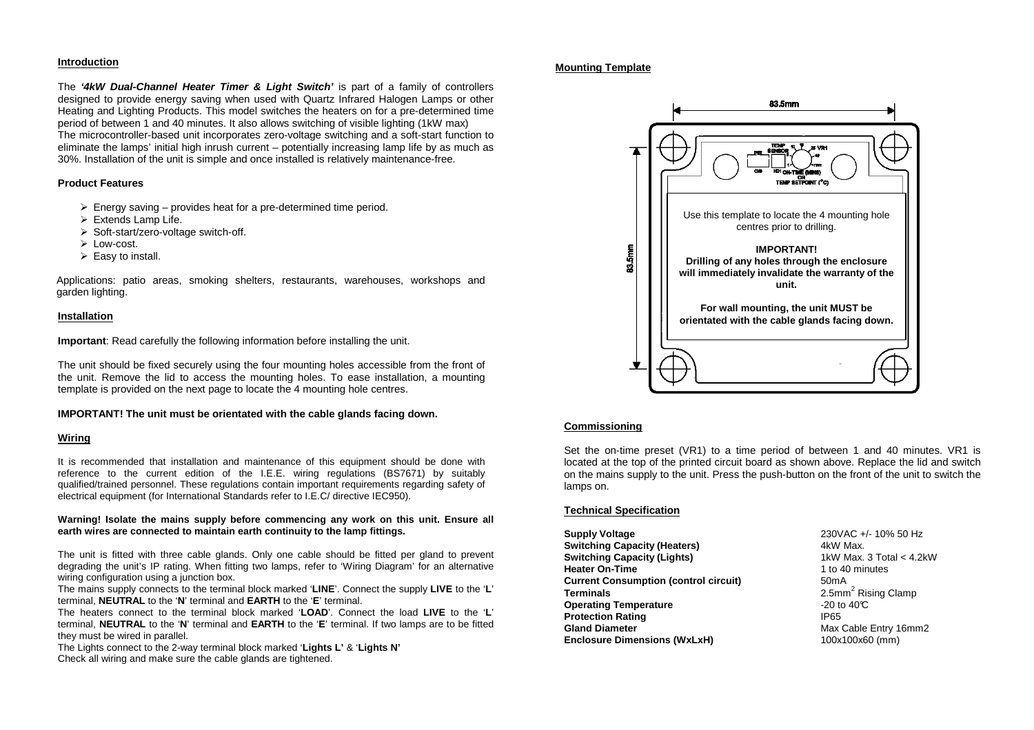## **Introduction**

The **'4kW Dual-Channel Heater Timer & Light Switch'** is part of a family of controllers designed to provide energy saving when used with Quartz Infrared Halogen Lamps or other Heating and Lighting Products. This model switches the heaters on for a pre-determined time period of between 1 and 40 minutes. It also allows switching of visible lighting (1kW max) The microcontroller-based unit incorporates zero-voltage switching and a soft-start function to eliminate the lamps' initial high inrush current – potentially increasing lamp life by as much as 30%. Installation of the unit is simple and once installed is relatively maintenance-free.

#### **Product Features**

- $\triangleright$  Energy saving provides heat for a pre-determined time period.
- $\triangleright$  Extends Lamp Life.
- > Soft-start/zero-voltage switch-off.
- $\triangleright$  Low-cost.
- $\triangleright$  Easy to install.

Applications: patio areas, smoking shelters, restaurants, warehouses, workshops and garden lighting.

## **Installation**

**Important**: Read carefully the following information before installing the unit.

The unit should be fixed securely using the four mounting holes accessible from the front of the unit. Remove the lid to access the mounting holes. To ease installation, a mounting template is provided on the next page to locate the 4 mounting hole centres.

## **IMPORTANT! The unit must be orientated with the cable glands facing down.**

#### **Wiring**

It is recommended that installation and maintenance of this equipment should be done with reference to the current edition of the I.E.E. wiring regulations (BS7671) by suitably qualified/trained personnel. These regulations contain important requirements regarding safety of electrical equipment (for International Standards refer to I.E.C/ directive IEC950).

#### **Warning! Isolate the mains supply before commencing any work on this unit. Ensure all earth wires are connected to maintain earth continuity to the lamp fittings.**

The unit is fitted with three cable glands. Only one cable should be fitted per gland to prevent degrading the unit's IP rating. When fitting two lamps, refer to 'Wiring Diagram' for an alternative wiring configuration using a junction box.

 The mains supply connects to the terminal block marked '**LINE**'. Connect the supply **LIVE** to the '**L**' terminal, **NEUTRAL** to the '**N**' terminal and **EARTH** to the '**E**' terminal.

 The heaters connect to the terminal block marked '**LOAD**'. Connect the load **LIVE** to the '**L**' terminal, **NEUTRAL** to the '**N**' terminal and **EARTH** to the '**E**' terminal. If two lamps are to be fitted they must be wired in parallel.

 The Lights connect to the 2-way terminal block marked '**Lights L'** & '**Lights N'**Check all wiring and make sure the cable glands are tightened.

## **Mounting Template**



## **Commissioning**

Set the on-time preset (VR1) to a time period of between 1 and 40 minutes. VR1 is located at the top of the printed circuit board as shown above. Replace the lid and switch on the mains supply to the unit. Press the push-button on the front of the unit to switch the lamps on.

## **Technical Specification**

**Supply Voltage** 230VAC +/- 10% 50 Hz **Switching Capacity (Heaters)** 4kW Max. **Switching Capacity (Lights) Heater On-Time** 1 to 40 minutes **Current Consumption (control circuit)** 50mA **Terminals** 2.5mm<sup>2</sup> Rising Clamp **Operating Temperature COPER 1000 TEMPERATURE Protection Rating IP65 Gland Diameter** Max Cable Entry 16mm2 **Enclosure Dimensions (WxLxH)** 100x100x60 (mm)

1kW Max, 3 Total < 4.2kW